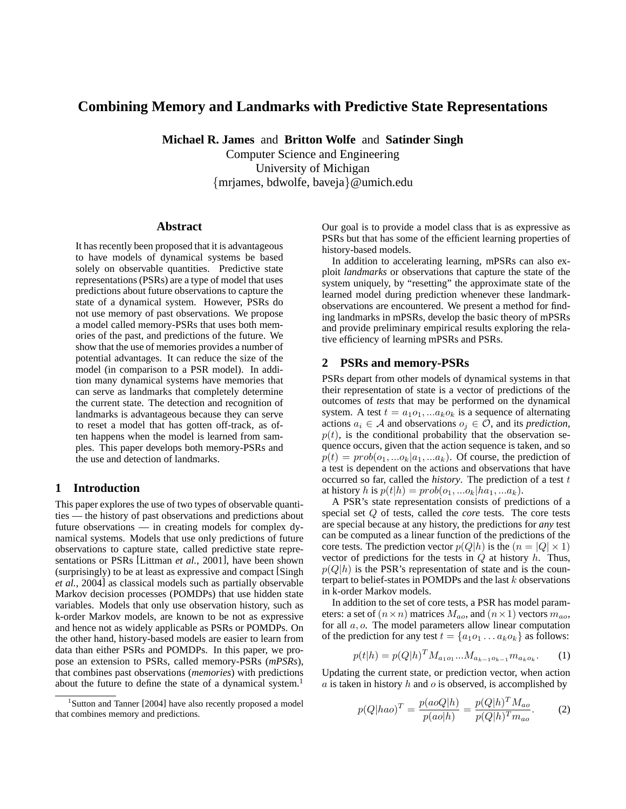# **Combining Memory and Landmarks with Predictive State Representations**

**Michael R. James** and **Britton Wolfe** and **Satinder Singh**

Computer Science and Engineering University of Michigan {mrjames, bdwolfe, baveja}@umich.edu

#### **Abstract**

It has recently been proposed that it is advantageous to have models of dynamical systems be based solely on observable quantities. Predictive state representations (PSRs) are a type of model that uses predictions about future observations to capture the state of a dynamical system. However, PSRs do not use memory of past observations. We propose a model called memory-PSRs that uses both memories of the past, and predictions of the future. We show that the use of memories provides a number of potential advantages. It can reduce the size of the model (in comparison to a PSR model). In addition many dynamical systems have memories that can serve as landmarks that completely determine the current state. The detection and recognition of landmarks is advantageous because they can serve to reset a model that has gotten off-track, as often happens when the model is learned from samples. This paper develops both memory-PSRs and the use and detection of landmarks.

### **1 Introduction**

This paper explores the use of two types of observable quantities — the history of past observations and predictions about future observations — in creating models for complex dynamical systems. Models that use only predictions of future observations to capture state, called predictive state representations or PSRs [Littman *et al.*, 2001], have been shown (surprisingly) to be at least as expressive and compact [Singh *et al.*, 2004] as classical models such as partially observable Markov decision processes (POMDPs) that use hidden state variables. Models that only use observation history, such as k-order Markov models, are known to be not as expressive and hence not as widely applicable as PSRs or POMDPs. On the other hand, history-based models are easier to learn from data than either PSRs and POMDPs. In this paper, we propose an extension to PSRs, called memory-PSRs (*mPSRs*), that combines past observations (*memories*) with predictions about the future to define the state of a dynamical system.<sup>1</sup> Our goal is to provide a model class that is as expressive as PSRs but that has some of the efficient learning properties of history-based models.

In addition to accelerating learning, mPSRs can also exploit *landmarks* or observations that capture the state of the system uniquely, by "resetting" the approximate state of the learned model during prediction whenever these landmarkobservations are encountered. We present a method for finding landmarks in mPSRs, develop the basic theory of mPSRs and provide preliminary empirical results exploring the relative efficiency of learning mPSRs and PSRs.

#### **2 PSRs and memory-PSRs**

PSRs depart from other models of dynamical systems in that their representation of state is a vector of predictions of the outcomes of *tests* that may be performed on the dynamical system. A test  $t = a_1 o_1, \ldots a_k o_k$  is a sequence of alternating actions  $a_i \in A$  and observations  $o_i \in O$ , and its *prediction*,  $p(t)$ , is the conditional probability that the observation sequence occurs, given that the action sequence is taken, and so  $p(t) = prob(o_1, ... o_k|a_1, ... a_k)$ . Of course, the prediction of a test is dependent on the actions and observations that have occurred so far, called the *history*. The prediction of a test t at history h is  $p(t|h) = prob(o_1, ... o_k|ha_1, ... a_k)$ .

A PSR's state representation consists of predictions of a special set Q of tests, called the *core* tests. The core tests are special because at any history, the predictions for *any* test can be computed as a linear function of the predictions of the core tests. The prediction vector  $p(Q|h)$  is the  $(n = |Q| \times 1)$ vector of predictions for the tests in  $Q$  at history  $h$ . Thus,  $p(Q|h)$  is the PSR's representation of state and is the counterpart to belief-states in POMDPs and the last  $k$  observations in k-order Markov models.

In addition to the set of core tests, a PSR has model parameters: a set of  $(n \times n)$  matrices  $M_{ao}$ , and  $(n \times 1)$  vectors  $m_{ao}$ , for all  $a, o$ . The model parameters allow linear computation of the prediction for any test  $t = \{a_1o_1 \dots a_k o_k\}$  as follows:

$$
p(t|h) = p(Q|h)^{T} M_{a_1 o_1} ... M_{a_{k-1} o_{k-1}} m_{a_k o_k}.
$$
 (1)

Updating the current state, or prediction vector, when action  $a$  is taken in history  $h$  and  $o$  is observed, is accomplished by

$$
p(Q|hao)^{T} = \frac{p(aoQ|h)}{p(ao|h)} = \frac{p(Q|h)^{T}M_{ao}}{p(Q|h)^{T}m_{ao}}.
$$
 (2)

<sup>&</sup>lt;sup>1</sup>Sutton and Tanner [2004] have also recently proposed a model that combines memory and predictions.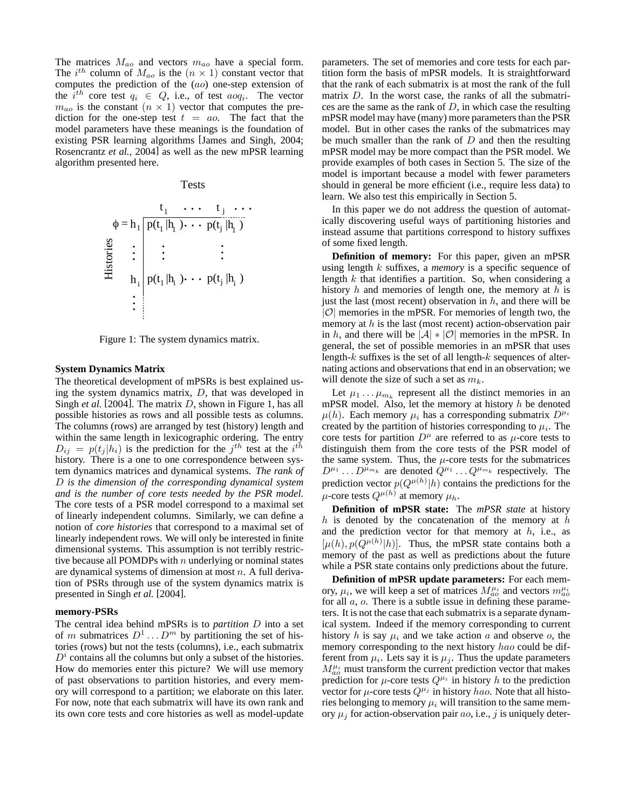The matrices  $M_{ao}$  and vectors  $m_{ao}$  have a special form. The  $i^{th}$  column of  $M_{ao}$  is the  $(n \times 1)$  constant vector that computes the prediction of the (ao) one-step extension of the  $i^{th}$  core test  $q_i \in Q$ , i.e., of test  $a \circ q_i$ . The vector  $m_{ao}$  is the constant  $(n \times 1)$  vector that computes the prediction for the one-step test  $t = a_0$ . The fact that the model parameters have these meanings is the foundation of existing PSR learning algorithms [James and Singh, 2004; Rosencrantz *et al.*, 2004] as well as the new mPSR learning algorithm presented here.

#### Tests

$$
\phi = h_1 \underbrace{p(t_1 | h_1) \cdots p(t_j | h_1)}_{\text{H}_1 \text{H}_2 \text{H}_3} \begin{cases} \text{p}(t_1 | h_1) \cdots \text{p}(t_j | h_1) \\ \vdots \\ \text{p}(t_1 | h_i) \cdots \text{p}(t_j | h_i) \\ \vdots \end{cases}
$$

Figure 1: The system dynamics matrix.

#### **System Dynamics Matrix**

The theoretical development of mPSRs is best explained using the system dynamics matrix, D, that was developed in Singh *et al.* [2004]. The matrix *D*, shown in Figure 1, has all possible histories as rows and all possible tests as columns. The columns (rows) are arranged by test (history) length and within the same length in lexicographic ordering. The entry  $D_{ij} = p(t_j|h_i)$  is the prediction for the  $j^{th}$  test at the  $i^{th}$ history. There is a one to one correspondence between system dynamics matrices and dynamical systems. *The rank of* D *is the dimension of the corresponding dynamical system and is the number of core tests needed by the PSR model.* The core tests of a PSR model correspond to a maximal set of linearly independent columns. Similarly, we can define a notion of *core histories* that correspond to a maximal set of linearly independent rows. We will only be interested in finite dimensional systems. This assumption is not terribly restrictive because all POMDPs with  $n$  underlying or nominal states are dynamical systems of dimension at most n. A full derivation of PSRs through use of the system dynamics matrix is presented in Singh *et al.* [2004].

#### **memory-PSRs**

The central idea behind mPSRs is to *partition* D into a set of m submatrices  $D^1 \dots D^m$  by partitioning the set of histories (rows) but not the tests (columns), i.e., each submatrix  $D<sup>i</sup>$  contains all the columns but only a subset of the histories. How do memories enter this picture? We will use memory of past observations to partition histories, and every memory will correspond to a partition; we elaborate on this later. For now, note that each submatrix will have its own rank and its own core tests and core histories as well as model-update parameters. The set of memories and core tests for each partition form the basis of mPSR models. It is straightforward that the rank of each submatrix is at most the rank of the full matrix D. In the worst case, the ranks of all the submatrices are the same as the rank of  $D$ , in which case the resulting mPSR model may have (many) more parameters than the PSR model. But in other cases the ranks of the submatrices may be much smaller than the rank of  $D$  and then the resulting mPSR model may be more compact than the PSR model. We provide examples of both cases in Section 5. The size of the model is important because a model with fewer parameters should in general be more efficient (i.e., require less data) to learn. We also test this empirically in Section 5.

In this paper we do not address the question of automatically discovering useful ways of partitioning histories and instead assume that partitions correspond to history suffixes of some fixed length.

**Definition of memory:** For this paper, given an mPSR using length k suffixes, a *memory* is a specific sequence of length  $k$  that identifies a partition. So, when considering a history h and memories of length one, the memory at h is just the last (most recent) observation in  $h$ , and there will be  $|\mathcal{O}|$  memories in the mPSR. For memories of length two, the memory at  $h$  is the last (most recent) action-observation pair in h, and there will be  $|\mathcal{A}| * |\mathcal{O}|$  memories in the mPSR. In general, the set of possible memories in an mPSR that uses length- $k$  suffixes is the set of all length- $k$  sequences of alternating actions and observations that end in an observation; we will denote the size of such a set as  $m_k$ .

Let  $\mu_1 \dots \mu_{m_k}$  represent all the distinct memories in an mPSR model. Also, let the memory at history  $h$  be denoted  $\mu(h)$ . Each memory  $\mu_i$  has a corresponding submatrix  $D^{\mu_i}$ created by the partition of histories corresponding to  $\mu_i$ . The core tests for partition  $D^{\mu}$  are referred to as  $\mu$ -core tests to distinguish them from the core tests of the PSR model of the same system. Thus, the  $\mu$ -core tests for the submatrices  $D^{\mu_1} \dots D^{\mu_{m_k}}$  are denoted  $Q^{\mu_1} \dots Q^{\mu_{m_k}}$  respectively. The prediction vector  $p(Q^{\mu(h)}|h)$  contains the predictions for the  $\mu$ -core tests  $Q^{\mu(h)}$  at memory  $\mu_h$ .

**Definition of mPSR state:** The *mPSR state* at history  $h$  is denoted by the concatenation of the memory at  $h$ and the prediction vector for that memory at  $h$ , i.e., as  $[\mu(h), p(Q^{\mu(h)}|h)]$ . Thus, the mPSR state contains both a memory of the past as well as predictions about the future while a PSR state contains only predictions about the future.

**Definition of mPSR update parameters:** For each memory,  $\mu_i$ , we will keep a set of matrices  $M_{ao}^{\mu_i}$  and vectors  $m_{ao}^{\mu_i}$ for all  $a$ ,  $o$ . There is a subtle issue in defining these parameters. It is not the case that each submatrix is a separate dynamical system. Indeed if the memory corresponding to current history h is say  $\mu_i$  and we take action a and observe o, the memory corresponding to the next history hao could be different from  $\mu_i$ . Lets say it is  $\mu_j$ . Thus the update parameters  $M_{ao}^{\mu_i}$  must transform the current prediction vector that makes prediction for  $\mu$ -core tests  $Q^{\mu_i}$  in history h to the prediction vector for  $\mu$ -core tests  $Q^{\mu_j}$  in history hao. Note that all histories belonging to memory  $\mu_i$  will transition to the same memory  $\mu_i$  for action-observation pair *ao*, i.e., *j* is uniquely deter-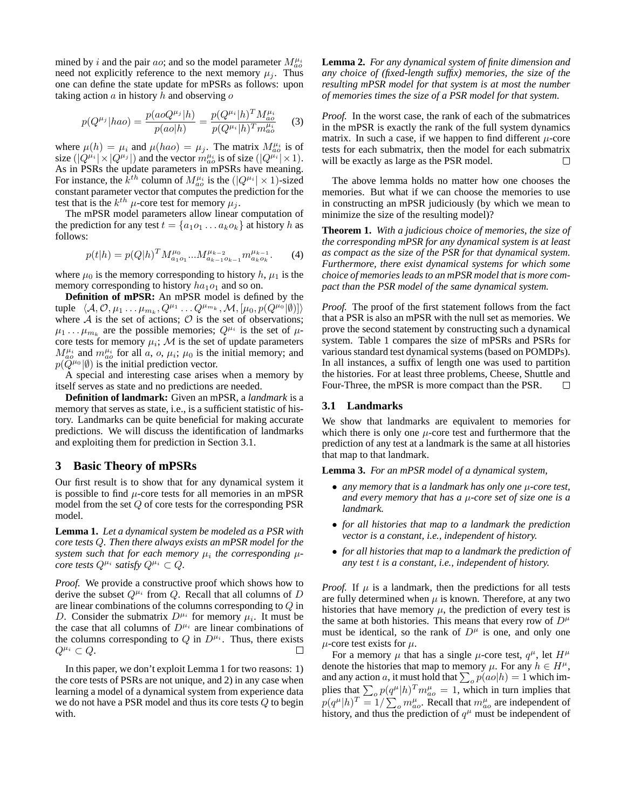mined by i and the pair ao; and so the model parameter  $M_{ao}^{\mu_i}$ need not explicitly reference to the next memory  $\mu_i$ . Thus one can define the state update for mPSRs as follows: upon taking action  $a$  in history  $h$  and observing  $o$ 

$$
p(Q^{\mu_j}|hao) = \frac{p(aoQ^{\mu_j}|h)}{p(ao|h)} = \frac{p(Q^{\mu_i}|h)^T M_{ao}^{\mu_i}}{p(Q^{\mu_i}|h)^T m_{ao}^{\mu_i}}
$$
(3)

where  $\mu(h) = \mu_i$  and  $\mu(hao) = \mu_j$ . The matrix  $M_{ao}^{\mu_i}$  is of size  $(|Q^{\mu_i}| \times |Q^{\mu_j}|)$  and the vector  $m_{ao}^{\mu_i}$  is of size  $(|Q^{\mu_i}| \times 1)$ . As in PSRs the update parameters in mPSRs have meaning. For instance, the  $\overline{k}^{th}$  column of  $M_{ao}^{\mu_i}$  is the  $(|Q^{\mu_i}| \times 1)$ -sized constant parameter vector that computes the prediction for the test that is the  $k^{th}$   $\mu$ -core test for memory  $\mu_j$ .

The mPSR model parameters allow linear computation of the prediction for any test  $t = \{a_1o_1 \ldots a_k o_k\}$  at history h as follows:

$$
p(t|h) = p(Q|h)^{T} M_{a_1o_1}^{\mu_0} \dots M_{a_{k-1}o_{k-1}}^{\mu_{k-2}} m_{a_ko_k}^{\mu_{k-1}}.
$$
 (4)

where  $\mu_0$  is the memory corresponding to history h,  $\mu_1$  is the memory corresponding to history  $ha_1o_1$  and so on.

**Definition of mPSR:** An mPSR model is defined by the tuple  $\langle A, \mathcal{O}, \mu_1 \dots \mu_{m_k}, Q^{\mu_1} \dots Q^{\mu_{m_k}}, \mathcal{M}, [\mu_0, p(Q^{\mu_0}|\emptyset)] \rangle$ where  $A$  is the set of actions;  $O$  is the set of observations;  $\mu_1 \dots \mu_{m_k}$  are the possible memories;  $Q^{\mu_i}$  is the set of  $\mu$ core tests for memory  $\mu_i$ ; M is the set of update parameters  $M_{ao}^{\mu_i}$  and  $m_{ao}^{\mu_i}$  for all a, o,  $\mu_i$ ;  $\mu_0$  is the initial memory; and  $p(\widetilde{Q}^{\mu_0}|\emptyset)$  is the initial prediction vector.

A special and interesting case arises when a memory by itself serves as state and no predictions are needed.

**Definition of landmark:** Given an mPSR, a *landmark* is a memory that serves as state, i.e., is a sufficient statistic of history. Landmarks can be quite beneficial for making accurate predictions. We will discuss the identification of landmarks and exploiting them for prediction in Section 3.1.

## **3 Basic Theory of mPSRs**

Our first result is to show that for any dynamical system it is possible to find  $\mu$ -core tests for all memories in an mPSR model from the set Q of core tests for the corresponding PSR model.

**Lemma 1.** *Let a dynamical system be modeled as a PSR with core tests* Q*. Then there always exists an mPSR model for the* system such that for each memory  $\mu_i$  the corresponding  $\mu$ *core tests*  $Q^{\mu_i}$  *satisfy*  $Q^{\mu_i} \subset Q$ *.* 

*Proof.* We provide a constructive proof which shows how to derive the subset  $Q^{\mu_i}$  from Q. Recall that all columns of D are linear combinations of the columns corresponding to Q in D. Consider the submatrix  $D^{\mu_i}$  for memory  $\mu_i$ . It must be the case that all columns of  $D^{\mu_i}$  are linear combinations of the columns corresponding to  $Q$  in  $D^{\mu_i}$ . Thus, there exists  $Q^{\mu_i} \subset Q.$  $\Box$ 

In this paper, we don't exploit Lemma 1 for two reasons: 1) the core tests of PSRs are not unique, and 2) in any case when learning a model of a dynamical system from experience data we do not have a PSR model and thus its core tests Q to begin with.

**Lemma 2.** *For any dynamical system of finite dimension and any choice of (fixed-length suffix) memories, the size of the resulting mPSR model for that system is at most the number of memories times the size of a PSR model for that system.*

*Proof.* In the worst case, the rank of each of the submatrices in the mPSR is exactly the rank of the full system dynamics matrix. In such a case, if we happen to find different  $\mu$ -core tests for each submatrix, then the model for each submatrix will be exactly as large as the PSR model.  $\Box$ 

The above lemma holds no matter how one chooses the memories. But what if we can choose the memories to use in constructing an mPSR judiciously (by which we mean to minimize the size of the resulting model)?

**Theorem 1.** *With a judicious choice of memories, the size of the corresponding mPSR for any dynamical system is at least as compact as the size of the PSR for that dynamical system. Furthermore, there exist dynamical systems for which some choice of memories leads to an mPSR model that is more compact than the PSR model of the same dynamical system.*

*Proof.* The proof of the first statement follows from the fact that a PSR is also an mPSR with the null set as memories. We prove the second statement by constructing such a dynamical system. Table 1 compares the size of mPSRs and PSRs for various standard test dynamical systems (based on POMDPs). In all instances, a suffix of length one was used to partition the histories. For at least three problems, Cheese, Shuttle and Four-Three, the mPSR is more compact than the PSR.  $\Box$ 

#### **3.1 Landmarks**

We show that landmarks are equivalent to memories for which there is only one  $\mu$ -core test and furthermore that the prediction of any test at a landmark is the same at all histories that map to that landmark.

**Lemma 3.** *For an mPSR model of a dynamical system,*

- *any memory that is a landmark has only one* µ*-core test, and every memory that has a* µ*-core set of size one is a landmark.*
- *for all histories that map to a landmark the prediction vector is a constant, i.e., independent of history.*
- *for all histories that map to a landmark the prediction of any test* t *is a constant, i.e., independent of history.*

*Proof.* If  $\mu$  is a landmark, then the predictions for all tests are fully determined when  $\mu$  is known. Therefore, at any two histories that have memory  $\mu$ , the prediction of every test is the same at both histories. This means that every row of  $D^{\mu}$ must be identical, so the rank of  $D^{\mu}$  is one, and only one  $\mu$ -core test exists for  $\mu$ .

For a memory  $\mu$  that has a single  $\mu$ -core test,  $q^{\mu}$ , let  $H^{\mu}$ denote the histories that map to memory  $\mu$ . For any  $h \in H^{\mu}$ , and any action a, it must hold that  $\sum_o p(a o | h) = 1$  which implies that  $\sum_{o} p(q^{\mu} | h)^{T} m_{ao}^{\mu} = 1$ , which in turn implies that  $p(q^{\mu}|h)^{T} = 1/\sum_{o} m_{ao}^{\mu}$ . Recall that  $m_{ao}^{\mu}$  are independent of history, and thus the prediction of  $q^{\mu}$  must be independent of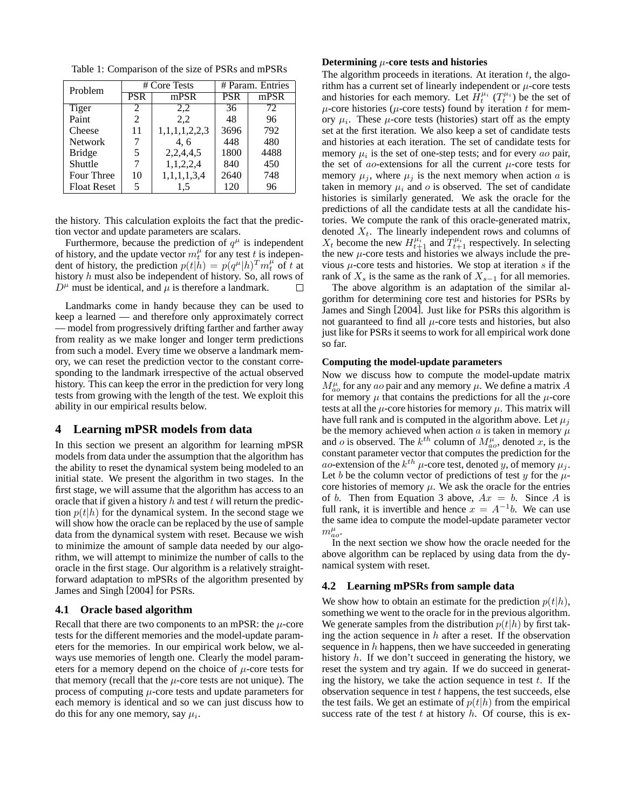Table 1: Comparison of the size of PSRs and mPSRs

| Problem            | # Core Tests |               | # Param. Entries |      |
|--------------------|--------------|---------------|------------------|------|
|                    | <b>PSR</b>   | mPSR          | <b>PSR</b>       | mPSR |
| Tiger              | 2            | 2,2           | 36               | 72   |
| Paint              | 2            | 2,2           | 48               | 96   |
| Cheese             | 11           | 1,1,1,1,2,2,3 | 3696             | 792  |
| <b>Network</b>     |              | 4, 6          | 448              | 480  |
| <b>Bridge</b>      | 5            | 2,2,4,4,5     | 1800             | 4488 |
| Shuttle            |              | 1,1,2,2,4     | 840              | 450  |
| Four Three         | 10           | 1,1,1,1,3,4   | 2640             | 748  |
| <b>Float Reset</b> | 5            | 1.5           | 120              | 96   |

the history. This calculation exploits the fact that the prediction vector and update parameters are scalars.

Furthermore, because the prediction of  $q^{\mu}$  is independent of history, and the update vector  $m_t^{\mu}$  for any test t is independent of history, the prediction  $p(t|h) = p(q^{\mu}|h)^{T} m_t^{\mu}$  of t at history h must also be independent of history. So, all rows of  $D^{\mu}$  must be identical, and  $\mu$  is therefore a landmark. П

Landmarks come in handy because they can be used to keep a learned — and therefore only approximately correct — model from progressively drifting farther and farther away from reality as we make longer and longer term predictions from such a model. Every time we observe a landmark memory, we can reset the prediction vector to the constant corresponding to the landmark irrespective of the actual observed history. This can keep the error in the prediction for very long tests from growing with the length of the test. We exploit this ability in our empirical results below.

## **4 Learning mPSR models from data**

In this section we present an algorithm for learning mPSR models from data under the assumption that the algorithm has the ability to reset the dynamical system being modeled to an initial state. We present the algorithm in two stages. In the first stage, we will assume that the algorithm has access to an oracle that if given a history  $h$  and test  $t$  will return the prediction  $p(t|h)$  for the dynamical system. In the second stage we will show how the oracle can be replaced by the use of sample data from the dynamical system with reset. Because we wish to minimize the amount of sample data needed by our algorithm, we will attempt to minimize the number of calls to the oracle in the first stage. Our algorithm is a relatively straightforward adaptation to mPSRs of the algorithm presented by James and Singh [2004] for PSRs.

#### **4.1 Oracle based algorithm**

Recall that there are two components to an mPSR: the  $\mu$ -core tests for the different memories and the model-update parameters for the memories. In our empirical work below, we always use memories of length one. Clearly the model parameters for a memory depend on the choice of  $\mu$ -core tests for that memory (recall that the  $\mu$ -core tests are not unique). The process of computing  $\mu$ -core tests and update parameters for each memory is identical and so we can just discuss how to do this for any one memory, say  $\mu_i$ .

### **Determining** µ**-core tests and histories**

The algorithm proceeds in iterations. At iteration  $t$ , the algorithm has a current set of linearly independent or  $\mu$ -core tests and histories for each memory. Let  $\hat{H}^{\mu_i}_t$  ( $T^{\mu_i}_t$ ) be the set of  $\mu$ -core histories ( $\mu$ -core tests) found by iteration t for memory  $\mu_i$ . These  $\mu$ -core tests (histories) start off as the empty set at the first iteration. We also keep a set of candidate tests and histories at each iteration. The set of candidate tests for memory  $\mu_i$  is the set of one-step tests; and for every ao pair, the set of *ao*-extensions for all the current  $\mu$ -core tests for memory  $\mu_i$ , where  $\mu_i$  is the next memory when action a is taken in memory  $\mu_i$  and o is observed. The set of candidate histories is similarly generated. We ask the oracle for the predictions of all the candidate tests at all the candidate histories. We compute the rank of this oracle-generated matrix, denoted  $X_t$ . The linearly independent rows and columns of  $X_t$  become the new  $H_{t+1}^{\mu_i}$  and  $T_{t+1}^{\mu_i}$  respectively. In selecting the new  $\mu$ -core tests and histories we always include the previous  $\mu$ -core tests and histories. We stop at iteration s if the rank of  $X_s$  is the same as the rank of  $X_{s-1}$  for all memories.

The above algorithm is an adaptation of the similar algorithm for determining core test and histories for PSRs by James and Singh [2004]. Just like for PSRs this algorithm is not guaranteed to find all  $\mu$ -core tests and histories, but also just like for PSRs it seems to work for all empirical work done so far.

#### **Computing the model-update parameters**

Now we discuss how to compute the model-update matrix  $M^{\mu}_{ao}$  for any ao pair and any memory  $\mu$ . We define a matrix A for memory  $\mu$  that contains the predictions for all the  $\mu$ -core tests at all the  $\mu$ -core histories for memory  $\mu$ . This matrix will have full rank and is computed in the algorithm above. Let  $\mu_i$ be the memory achieved when action  $\alpha$  is taken in memory  $\mu$ and *o* is observed. The  $k^{th}$  column of  $M^{\mu}_{ao}$ , denoted *x*, is the constant parameter vector that computes the prediction for the *ao*-extension of the  $k^{th}$   $\mu$ -core test, denoted y, of memory  $\mu_j$ . Let b be the column vector of predictions of test y for the  $\mu$ core histories of memory  $\mu$ . We ask the oracle for the entries of b. Then from Equation 3 above,  $Ax = b$ . Since A is full rank, it is invertible and hence  $x = A^{-1}b$ . We can use the same idea to compute the model-update parameter vector  $m_{ao}^{\mu}$ .

In the next section we show how the oracle needed for the above algorithm can be replaced by using data from the dynamical system with reset.

#### **4.2 Learning mPSRs from sample data**

We show how to obtain an estimate for the prediction  $p(t|h)$ , something we went to the oracle for in the previous algorithm. We generate samples from the distribution  $p(t|h)$  by first taking the action sequence in  $h$  after a reset. If the observation sequence in  $h$  happens, then we have succeeded in generating history h. If we don't succeed in generating the history, we reset the system and try again. If we do succeed in generating the history, we take the action sequence in test  $t$ . If the observation sequence in test  $t$  happens, the test succeeds, else the test fails. We get an estimate of  $p(t|h)$  from the empirical success rate of the test t at history  $h$ . Of course, this is ex-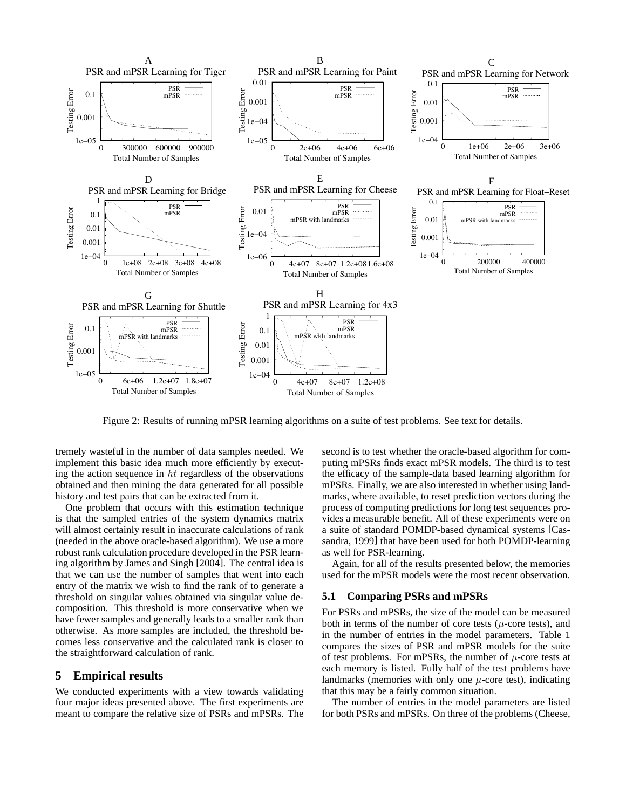

Figure 2: Results of running mPSR learning algorithms on a suite of test problems. See text for details.

tremely wasteful in the number of data samples needed. We implement this basic idea much more efficiently by executing the action sequence in  $ht$  regardless of the observations obtained and then mining the data generated for all possible history and test pairs that can be extracted from it.

One problem that occurs with this estimation technique is that the sampled entries of the system dynamics matrix will almost certainly result in inaccurate calculations of rank (needed in the above oracle-based algorithm). We use a more robust rank calculation procedure developed in the PSR learning algorithm by James and Singh [2004]. The central idea is that we can use the number of samples that went into each entry of the matrix we wish to find the rank of to generate a threshold on singular values obtained via singular value decomposition. This threshold is more conservative when we have fewer samples and generally leads to a smaller rank than otherwise. As more samples are included, the threshold becomes less conservative and the calculated rank is closer to the straightforward calculation of rank.

### **5 Empirical results**

We conducted experiments with a view towards validating four major ideas presented above. The first experiments are meant to compare the relative size of PSRs and mPSRs. The second is to test whether the oracle-based algorithm for computing mPSRs finds exact mPSR models. The third is to test the efficacy of the sample-data based learning algorithm for mPSRs. Finally, we are also interested in whether using landmarks, where available, to reset prediction vectors during the process of computing predictions for long test sequences provides a measurable benefit. All of these experiments were on a suite of standard POMDP-based dynamical systems [Cassandra, 1999] that have been used for both POMDP-learning as well for PSR-learning.

Again, for all of the results presented below, the memories used for the mPSR models were the most recent observation.

### **5.1 Comparing PSRs and mPSRs**

For PSRs and mPSRs, the size of the model can be measured both in terms of the number of core tests  $(\mu$ -core tests), and in the number of entries in the model parameters. Table 1 compares the sizes of PSR and mPSR models for the suite of test problems. For mPSRs, the number of  $\mu$ -core tests at each memory is listed. Fully half of the test problems have landmarks (memories with only one  $\mu$ -core test), indicating that this may be a fairly common situation.

The number of entries in the model parameters are listed for both PSRs and mPSRs. On three of the problems (Cheese,